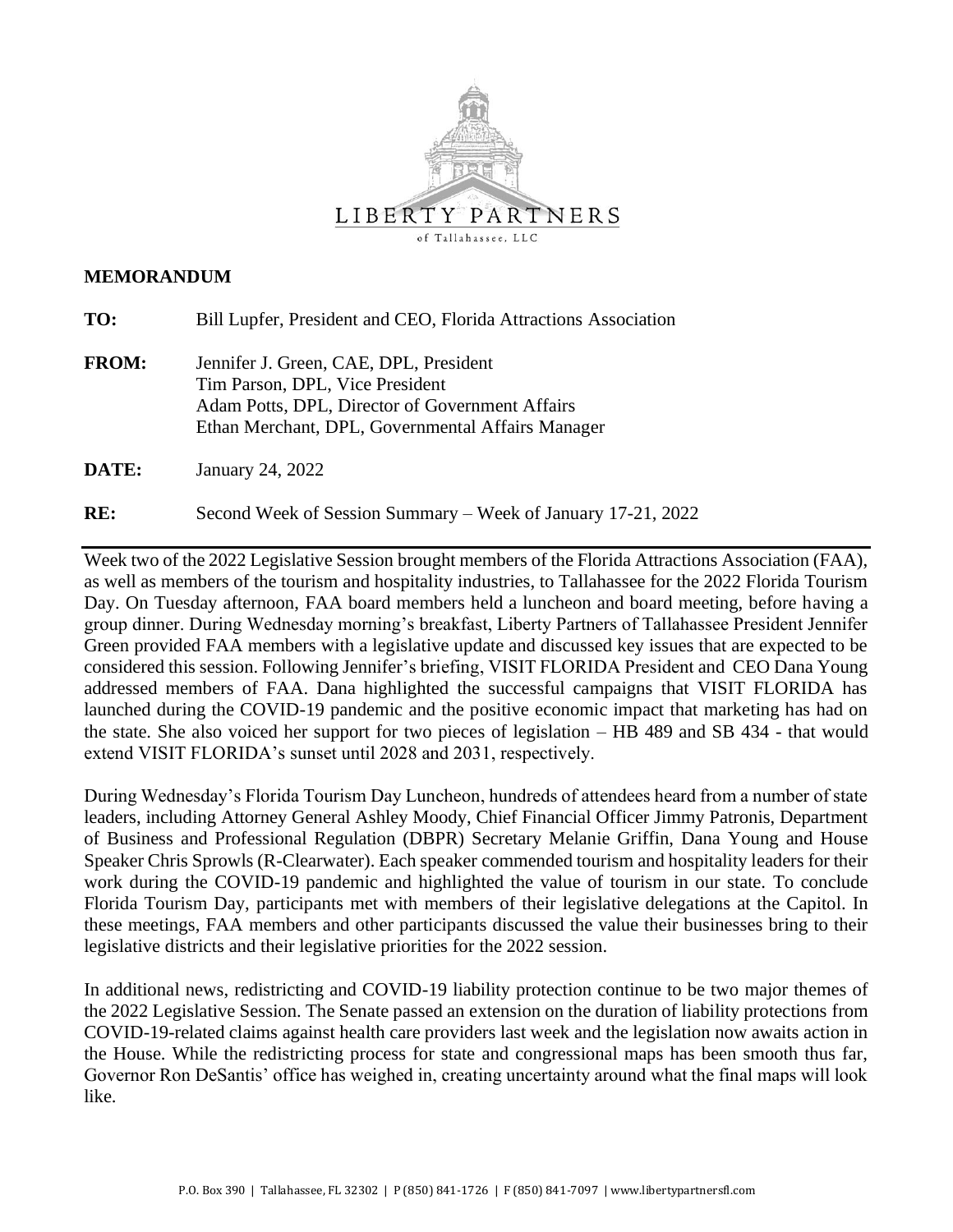

#### **MEMORANDUM**

| TO:          | Bill Lupfer, President and CEO, Florida Attractions Association                                                                                                                   |
|--------------|-----------------------------------------------------------------------------------------------------------------------------------------------------------------------------------|
| <b>FROM:</b> | Jennifer J. Green, CAE, DPL, President<br>Tim Parson, DPL, Vice President<br>Adam Potts, DPL, Director of Government Affairs<br>Ethan Merchant, DPL, Governmental Affairs Manager |
| DATE:        | January 24, 2022                                                                                                                                                                  |

**RE:** Second Week of Session Summary – Week of January 17-21, 2022

Week two of the 2022 Legislative Session brought members of the Florida Attractions Association (FAA), as well as members of the tourism and hospitality industries, to Tallahassee for the 2022 Florida Tourism Day. On Tuesday afternoon, FAA board members held a luncheon and board meeting, before having a group dinner. During Wednesday morning's breakfast, Liberty Partners of Tallahassee President Jennifer Green provided FAA members with a legislative update and discussed key issues that are expected to be considered this session. Following Jennifer's briefing, VISIT FLORIDA President and CEO Dana Young addressed members of FAA. Dana highlighted the successful campaigns that VISIT FLORIDA has launched during the COVID-19 pandemic and the positive economic impact that marketing has had on the state. She also voiced her support for two pieces of legislation – HB 489 and SB 434 - that would extend VISIT FLORIDA's sunset until 2028 and 2031, respectively.

During Wednesday's Florida Tourism Day Luncheon, hundreds of attendees heard from a number of state leaders, including Attorney General Ashley Moody, Chief Financial Officer Jimmy Patronis, Department of Business and Professional Regulation (DBPR) Secretary Melanie Griffin, Dana Young and House Speaker Chris Sprowls (R-Clearwater). Each speaker commended tourism and hospitality leaders for their work during the COVID-19 pandemic and highlighted the value of tourism in our state. To conclude Florida Tourism Day, participants met with members of their legislative delegations at the Capitol. In these meetings, FAA members and other participants discussed the value their businesses bring to their legislative districts and their legislative priorities for the 2022 session.

In additional news, redistricting and COVID-19 liability protection continue to be two major themes of the 2022 Legislative Session. The Senate passed an extension on the duration of liability protections from COVID-19-related claims against health care providers last week and the legislation now awaits action in the House. While the redistricting process for state and congressional maps has been smooth thus far, Governor Ron DeSantis' office has weighed in, creating uncertainty around what the final maps will look like.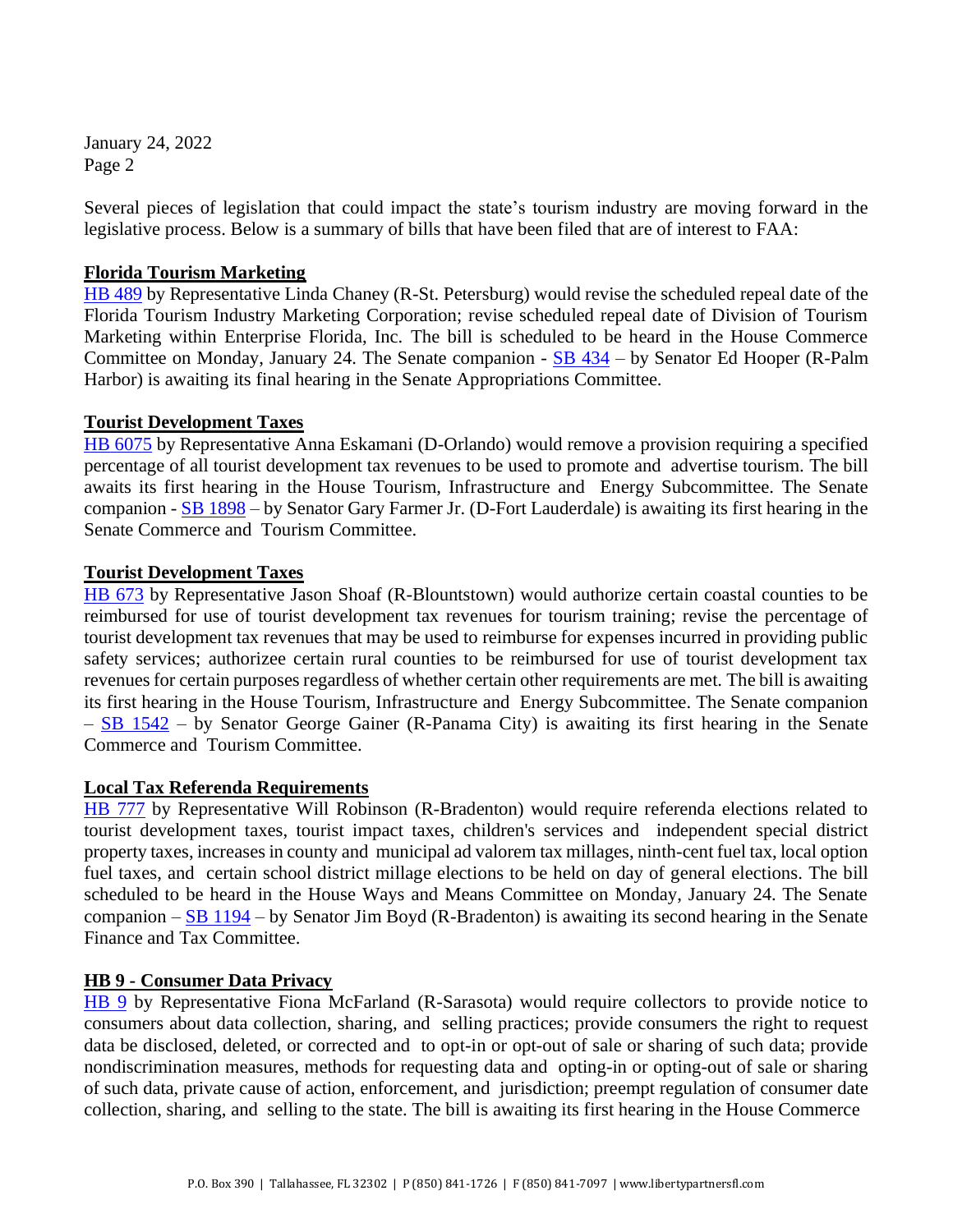January 24, 2022 Page 2

Several pieces of legislation that could impact the state's tourism industry are moving forward in the legislative process. Below is a summary of bills that have been filed that are of interest to FAA:

## **Florida Tourism Marketing**

[HB 489](https://www.myfloridahouse.gov/Sections/Bills/billsdetail.aspx?BillId=73966&SessionId=93) by Representative Linda Chaney (R-St. Petersburg) would revise the scheduled repeal date of the Florida Tourism Industry Marketing Corporation; revise scheduled repeal date of Division of Tourism Marketing within Enterprise Florida, Inc. The bill is scheduled to be heard in the House Commerce Committee on Monday, January 24. The Senate companion -  $SB$  434 – by Senator Ed Hooper (R-Palm Harbor) is awaiting its final hearing in the Senate Appropriations Committee.

## **Tourist Development Taxes**

[HB 6075](https://www.myfloridahouse.gov/Sections/Bills/billsdetail.aspx?BillId=73902&SessionId=93) by Representative Anna Eskamani (D-Orlando) would remove a provision requiring a specified percentage of all tourist development tax revenues to be used to promote and advertise tourism. The bill awaits its first hearing in the House Tourism, Infrastructure and Energy Subcommittee. The Senate companion - [SB 1898](https://www.flsenate.gov/Session/Bill/2022/1898) – by Senator Gary Farmer Jr. (D-Fort Lauderdale) is awaiting its first hearing in the Senate Commerce and Tourism Committee.

## **Tourist Development Taxes**

[HB 673](https://www.myfloridahouse.gov/Sections/Bills/billsdetail.aspx?BillId=74794&SessionId=93) by Representative Jason Shoaf (R-Blountstown) would authorize certain coastal counties to be reimbursed for use of tourist development tax revenues for tourism training; revise the percentage of tourist development tax revenues that may be used to reimburse for expenses incurred in providing public safety services; authorizee certain rural counties to be reimbursed for use of tourist development tax revenues for certain purposes regardless of whether certain other requirements are met. The bill is awaiting its first hearing in the House Tourism, Infrastructure and Energy Subcommittee. The Senate companion  $-$  [SB 1542](https://www.flsenate.gov/Session/Bill/2022/1542) – by Senator George Gainer (R-Panama City) is awaiting its first hearing in the Senate Commerce and Tourism Committee.

#### **Local Tax Referenda Requirements**

[HB 777](https://www.myfloridahouse.gov/Sections/Bills/billsdetail.aspx?BillId=75205&SessionId=93) by Representative Will Robinson (R-Bradenton) would require referenda elections related to tourist development taxes, tourist impact taxes, children's services and independent special district property taxes, increases in county and municipal ad valorem tax millages, ninth-cent fuel tax, local option fuel taxes, and certain school district millage elections to be held on day of general elections. The bill scheduled to be heard in the House Ways and Means Committee on Monday, January 24. The Senate companion – [SB 1194](https://www.flsenate.gov/Session/Bill/2022/1194) – by Senator Jim Boyd (R-Bradenton) is awaiting its second hearing in the Senate Finance and Tax Committee.

#### **HB 9 - Consumer Data Privacy**

[HB 9](https://www.myfloridahouse.gov/Sections/Bills/billsdetail.aspx?BillId=76556&SessionId=93) by Representative Fiona McFarland (R-Sarasota) would require collectors to provide notice to consumers about data collection, sharing, and selling practices; provide consumers the right to request data be disclosed, deleted, or corrected and to opt-in or opt-out of sale or sharing of such data; provide nondiscrimination measures, methods for requesting data and opting-in or opting-out of sale or sharing of such data, private cause of action, enforcement, and jurisdiction; preempt regulation of consumer date collection, sharing, and selling to the state. The bill is awaiting its first hearing in the House Commerce